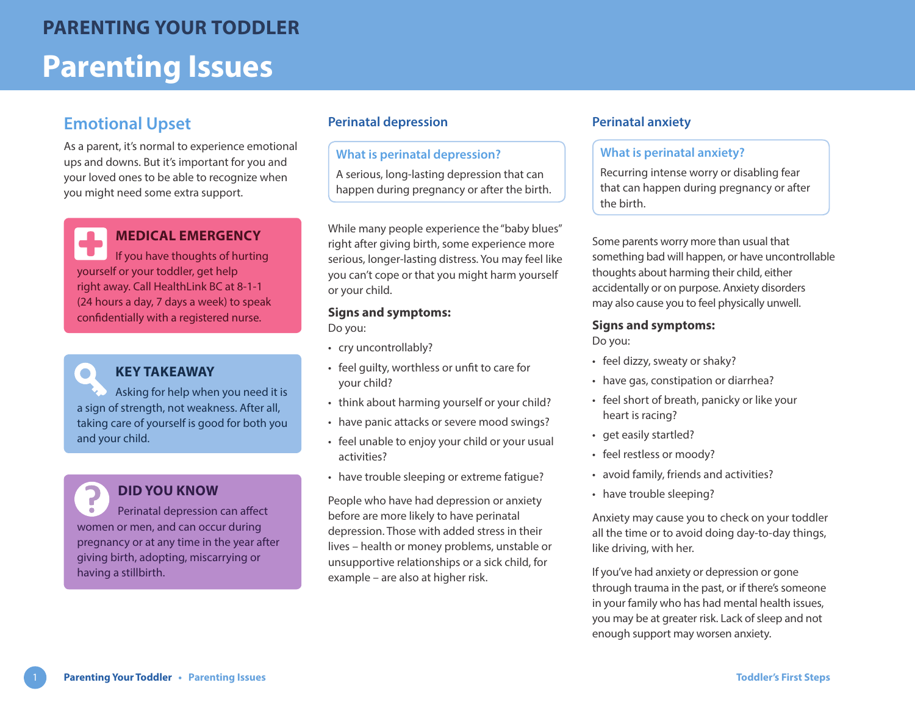## **Emotional Upset**

As a parent, it's normal to experience emotional ups and downs. But it's important for you and your loved ones to be able to recognize when you might need some extra support.

### **MEDICAL EMERGENCY**

If you have thoughts of hurting yourself or your toddler, get help right away. Call HealthLink BC at 8-1-1 (24 hours a day, 7 days a week) to speak confidentially with a registered nurse.

### **KEY TAKEAWAY**

 $\bullet$ 

Asking for help when you need it is a sign of strength, not weakness. After all, taking care of yourself is good for both you and your child.

# **DID YOU KNOW**

Perinatal depression can affect women or men, and can occur during pregnancy or at any time in the year after giving birth, adopting, miscarrying or having a stillbirth.

#### **Perinatal depression Perinatal anxiety**

#### **What is perinatal depression?**

A serious, long-lasting depression that can happen during pregnancy or after the birth.

While many people experience the "baby blues" right after giving birth, some experience more serious, longer-lasting distress. You may feel like you can't cope or that you might harm yourself or your child.

#### **Signs and symptoms:**

Do you:

- cry uncontrollably?
- feel guilty, worthless or unfit to care for your child?
- think about harming yourself or your child?
- have panic attacks or severe mood swings?
- feel unable to enjoy your child or your usual activities?
- have trouble sleeping or extreme fatigue?

People who have had depression or anxiety before are more likely to have perinatal depression. Those with added stress in their lives – health or money problems, unstable or unsupportive relationships or a sick child, for example – are also at higher risk.

#### **What is perinatal anxiety?**

Recurring intense worry or disabling fear that can happen during pregnancy or after the birth.

Some parents worry more than usual that something bad will happen, or have uncontrollable thoughts about harming their child, either accidentally or on purpose. Anxiety disorders may also cause you to feel physically unwell.

#### **Signs and symptoms:**

Do you:

- feel dizzy, sweaty or shaky?
- have gas, constipation or diarrhea?
- feel short of breath, panicky or like your heart is racing?
- get easily startled?
- feel restless or moody?
- avoid family, friends and activities?
- have trouble sleeping?

Anxiety may cause you to check on your toddler all the time or to avoid doing day-to-day things, like driving, with her.

If you've had anxiety or depression or gone through trauma in the past, or if there's someone in your family who has had mental health issues, you may be at greater risk. Lack of sleep and not enough support may worsen anxiety.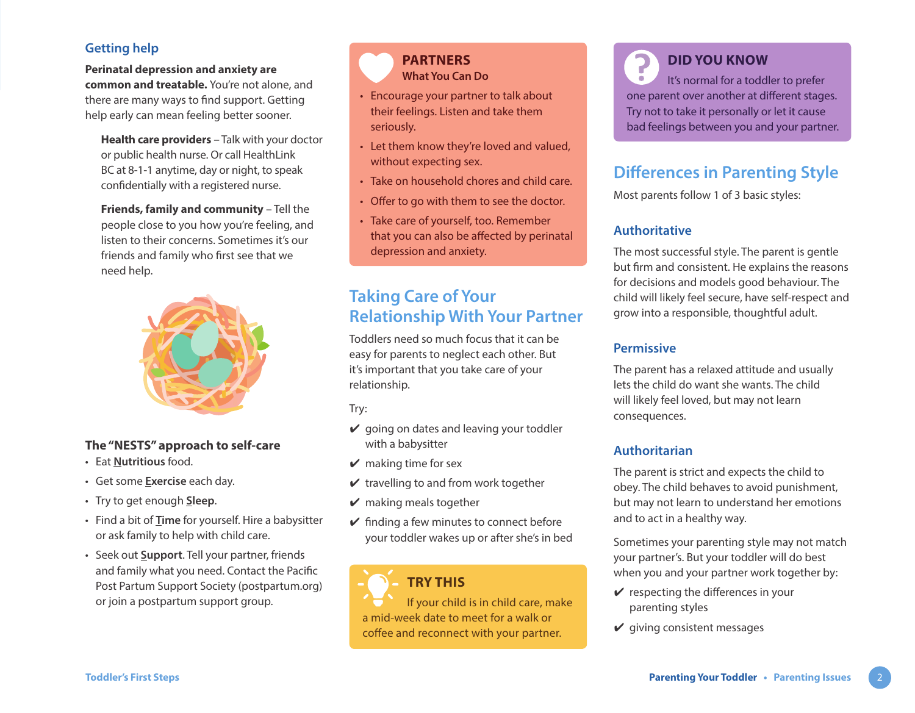#### **Getting help**

**Perinatal depression and anxiety are common and treatable.** You're not alone, and there are many ways to find support. Getting help early can mean feeling better sooner.

**Health care providers** – Talk with your doctor or public health nurse. Or call HealthLink BC at 8-1-1 anytime, day or night, to speak confidentially with a registered nurse.

**Friends, family and community** – Tell the people close to you how you're feeling, and listen to their concerns. Sometimes it's our friends and family who first see that we need help.



#### **The "NESTS" approach to self-care**

- Eat **Nutritious** food.
- Get some **Exercise** each day.
- Try to get enough **Sleep**.
- Find a bit of **Time** for yourself. Hire a babysitter or ask family to help with child care.
- Seek out **Support**. Tell your partner, friends and family what you need. Contact the [Pacific](http://postpartum.org)  [Post Partum Support Society](http://postpartum.org) [\(postpartum.org\)](http://postpartum.org) or join a postpartum support group.



- **What You Can Do** • Encourage your partner to talk about their feelings. Listen and take them seriously.
- Let them know they're loved and valued, without expecting sex.
- Take on household chores and child care.
- Offer to go with them to see the doctor.
- Take care of yourself, too. Remember that you can also be affected by perinatal depression and anxiety.

# **Taking Care of Your Relationship With Your Partner**

Toddlers need so much focus that it can be easy for parents to neglect each other. But it's important that you take care of your relationship.

Try:

- $\vee$  going on dates and leaving your toddler with a babysitter
- $\triangleright$  making time for sex
- $\vee$  travelling to and from work together
- $\vee$  making meals together
- $\vee$  finding a few minutes to connect before your toddler wakes up or after she's in bed

# **TRY THIS**

If your child is in child care, make a mid-week date to meet for a walk or coffee and reconnect with your partner.

**DID YOU KNOW** It's normal for a toddler to prefer one parent over another at different stages. Try not to take it personally or let it cause bad feelings between you and your partner.

# **Differences in Parenting Style**

Most parents follow 1 of 3 basic styles:

#### **Authoritative**

The most successful style. The parent is gentle but firm and consistent. He explains the reasons for decisions and models good behaviour. The child will likely feel secure, have self-respect and grow into a responsible, thoughtful adult.

#### **Permissive**

The parent has a relaxed attitude and usually lets the child do want she wants. The child will likely feel loved, but may not learn consequences.

#### **Authoritarian**

The parent is strict and expects the child to obey. The child behaves to avoid punishment, but may not learn to understand her emotions and to act in a healthy way.

Sometimes your parenting style may not match your partner's. But your toddler will do best when you and your partner work together by:

- $\mathbf y$  respecting the differences in your parenting styles
- $\checkmark$  giving consistent messages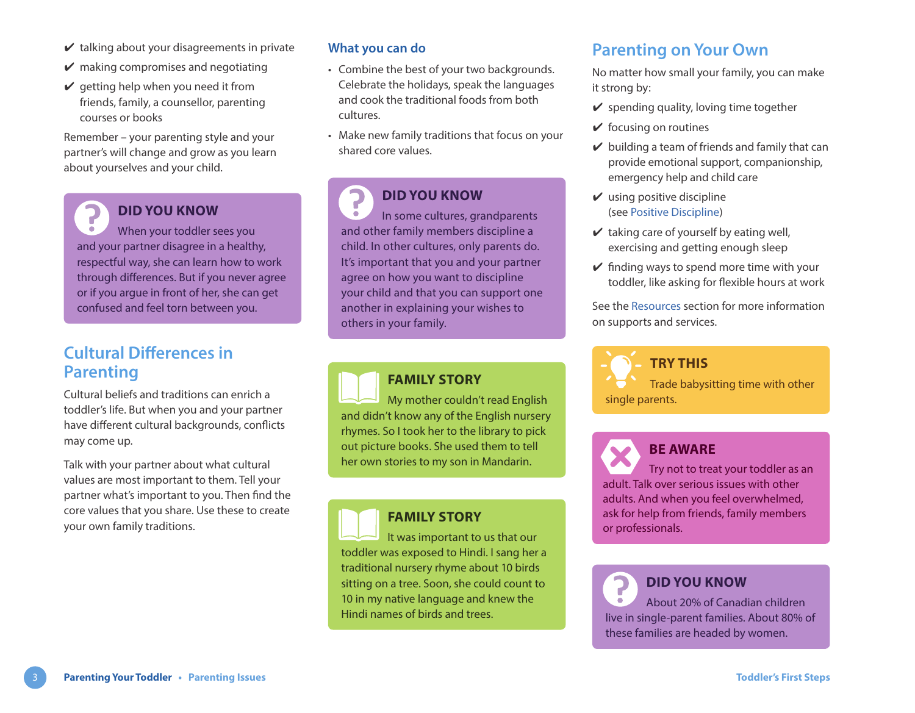In some cultures, grandparents

### **Cultural Differences in Parenting**

Cultural beliefs and traditions can enrich a toddler's life. But when you and your partner have different cultural backgrounds, conflicts may come up.

 $\vee$  talking about your disagreements in private

 $\vee$  making compromises and negotiating  $\vee$  getting help when you need it from friends, family, a counsellor, parenting

Remember – your parenting style and your partner's will change and grow as you learn

**DID YOU KNOW**

When your toddler sees you and your partner disagree in a healthy, respectful way, she can learn how to work through differences. But if you never agree or if you argue in front of her, she can get confused and feel torn between you.

about yourselves and your child.

courses or books

Talk with your partner about what cultural values are most important to them. Tell your partner what's important to you. Then find the core values that you share. Use these to create your own family traditions.

#### **What you can do**

- Combine the best of your two backgrounds. Celebrate the holidays, speak the languages and cook the traditional foods from both cultures.
- Make new family traditions that focus on your shared core values.

#### **DID YOU KNOW**

and other family members discipline a child. In other cultures, only parents do. It's important that you and your partner agree on how you want to discipline your child and that you can support one another in explaining your wishes to others in your family.

#### **FAMILY STORY**

My mother couldn't read English and didn't know any of the English nursery rhymes. So I took her to the library to pick out picture books. She used them to tell her own stories to my son in Mandarin.

#### **FAMILY STORY**

It was important to us that our toddler was exposed to Hindi. I sang her a traditional nursery rhyme about 10 birds sitting on a tree. Soon, she could count to 10 in my native language and knew the Hindi names of birds and trees.

### **Parenting on Your Own**

No matter how small your family, you can make it strong by:

- $\vee$  spending quality, loving time together
- $\vee$  focusing on routines
- $\vee$  building a team of friends and family that can provide emotional support, companionship, emergency help and child care
- $\vee$  using positive discipline (see [Positive Discipline\)](https://www.healthlinkbc.ca/sites/default/files/documents/TFS_positive-discipline.pdf)
- $\vee$  taking care of yourself by eating well, exercising and getting enough sleep
- $\checkmark$  finding ways to spend more time with your toddler, like asking for flexible hours at work

See the [Resources](https://www.healthlinkbc.ca/sites/default/files/documents/TFS_resources.pdf) section for more information on supports and services.

**TRY THIS** Trade babysitting time with other single parents.

Try not to treat your toddler as an adult. Talk over serious issues with other adults. And when you feel overwhelmed, ask for help from friends, family members or professionals.

**BE AWARE**

#### **DID YOU KNOW** About 20% of Canadian children

live in single-parent families. About 80% of these families are headed by women.